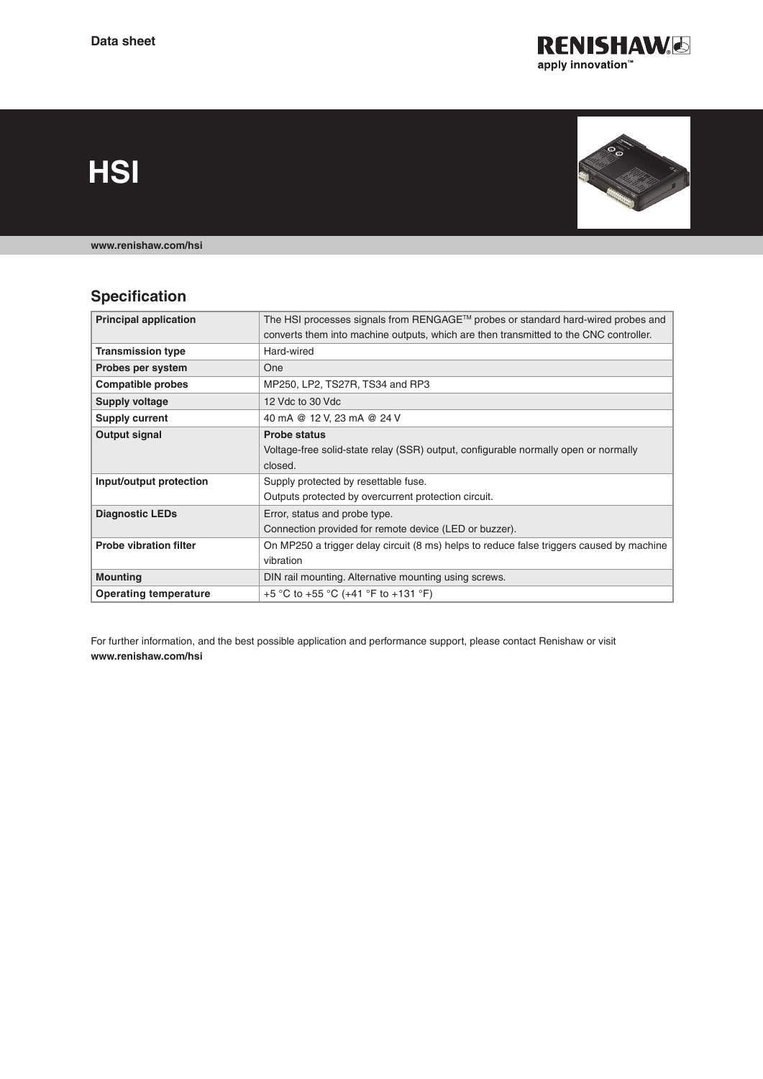

**HSI**



**[www.renishaw.com/hsi](http://www.renishaw.com/hsi)**

# **Specification**

| <b>Principal application</b>  | The HSI processes signals from RENGAGE™ probes or standard hard-wired probes and         |
|-------------------------------|------------------------------------------------------------------------------------------|
|                               | converts them into machine outputs, which are then transmitted to the CNC controller.    |
| <b>Transmission type</b>      | Hard-wired                                                                               |
| Probes per system             | <b>One</b>                                                                               |
| <b>Compatible probes</b>      | MP250, LP2, TS27R, TS34 and RP3                                                          |
| <b>Supply voltage</b>         | 12 Vdc to 30 Vdc                                                                         |
| Supply current                | 40 mA @ 12 V, 23 mA @ 24 V                                                               |
| Output signal                 | <b>Probe status</b>                                                                      |
|                               | Voltage-free solid-state relay (SSR) output, configurable normally open or normally      |
|                               | closed.                                                                                  |
| Input/output protection       | Supply protected by resettable fuse.                                                     |
|                               | Outputs protected by overcurrent protection circuit.                                     |
| <b>Diagnostic LEDs</b>        | Error, status and probe type.                                                            |
|                               | Connection provided for remote device (LED or buzzer).                                   |
| <b>Probe vibration filter</b> | On MP250 a trigger delay circuit (8 ms) helps to reduce false triggers caused by machine |
|                               | vibration                                                                                |
| <b>Mounting</b>               | DIN rail mounting. Alternative mounting using screws.                                    |
| <b>Operating temperature</b>  | +5 °C to +55 °C (+41 °F to +131 °F)                                                      |

For further information, and the best possible application and performance support, please contact Renishaw or visit **[www.renishaw.com/hsi](http://www.renishaw.com/hsi)**